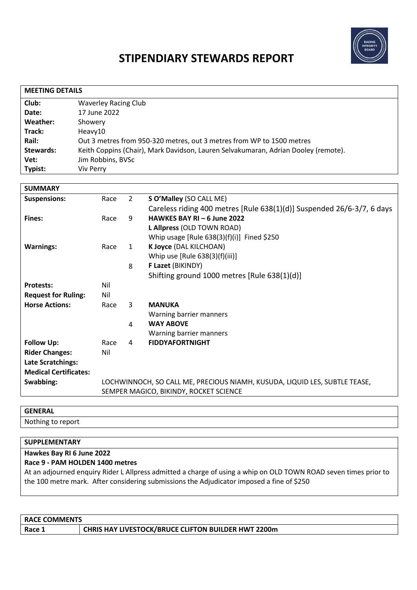

# **STIPENDIARY STEWARDS REPORT**

| <b>MEETING DETAILS</b> |                                                                                    |  |  |
|------------------------|------------------------------------------------------------------------------------|--|--|
| Club:                  | <b>Waverley Racing Club</b>                                                        |  |  |
| Date:                  | 17 June 2022                                                                       |  |  |
| Weather:               | Showery                                                                            |  |  |
| Track:                 | Heavy10                                                                            |  |  |
| Rail:                  | Out 3 metres from 950-320 metres, out 3 metres from WP to 1500 metres              |  |  |
| <b>Stewards:</b>       | Keith Coppins (Chair), Mark Davidson, Lauren Selvakumaran, Adrian Dooley (remote). |  |  |
| Vet:                   | Jim Robbins, BVSc                                                                  |  |  |
| Typist:                | Viv Perry                                                                          |  |  |

| <b>SUMMARY</b>               |                                        |                |                                                                            |
|------------------------------|----------------------------------------|----------------|----------------------------------------------------------------------------|
| <b>Suspensions:</b>          | Race                                   | $\overline{2}$ | S O'Malley (SO CALL ME)                                                    |
|                              |                                        |                | Careless riding 400 metres [Rule 638(1)(d)] Suspended 26/6-3/7, 6 days     |
| <b>Fines:</b>                | Race                                   | 9              | HAWKES BAY RI - 6 June 2022                                                |
|                              |                                        |                | L Allpress (OLD TOWN ROAD)                                                 |
|                              |                                        |                | Whip usage [Rule $638(3)(f)(i)$ ] Fined \$250                              |
| <b>Warnings:</b>             | Race                                   | $\mathbf{1}$   | K Joyce (DAL KILCHOAN)                                                     |
|                              |                                        |                | Whip use $[Rule 638(3)(f)(iii)]$                                           |
|                              |                                        | 8              | F Lazet (BIKINDY)                                                          |
|                              |                                        |                | Shifting ground 1000 metres [Rule 638(1)(d)]                               |
| <b>Protests:</b>             | Nil                                    |                |                                                                            |
| <b>Request for Ruling:</b>   | Nil                                    |                |                                                                            |
| <b>Horse Actions:</b>        | Race                                   | 3              | <b>MANUKA</b>                                                              |
|                              |                                        |                | Warning barrier manners                                                    |
|                              |                                        | 4              | <b>WAY ABOVE</b>                                                           |
|                              |                                        |                | Warning barrier manners                                                    |
| <b>Follow Up:</b>            | Race                                   | 4              | <b>FIDDYAFORTNIGHT</b>                                                     |
| <b>Rider Changes:</b>        | Nil                                    |                |                                                                            |
| <b>Late Scratchings:</b>     |                                        |                |                                                                            |
| <b>Medical Certificates:</b> |                                        |                |                                                                            |
| Swabbing:                    |                                        |                | LOCHWINNOCH, SO CALL ME, PRECIOUS NIAMH, KUSUDA, LIQUID LES, SUBTLE TEASE, |
|                              | SEMPER MAGICO, BIKINDY, ROCKET SCIENCE |                |                                                                            |

### **GENERAL** Nothing to report

## **SUPPLEMENTARY Hawkes Bay RI 6 June 2022 Race 9 - PAM HOLDEN 1400 metres** At an adjourned enquiry Rider L Allpress admitted a charge of using a whip on OLD TOWN ROAD seven times prior to the 100 metre mark. After considering submissions the Adjudicator imposed a fine of \$250

| <b>RACE COMMENTS</b> |                                                            |  |  |
|----------------------|------------------------------------------------------------|--|--|
| Race 1               | <b>CHRIS HAY LIVESTOCK/BRUCE CLIFTON BUILDER HWT 2200m</b> |  |  |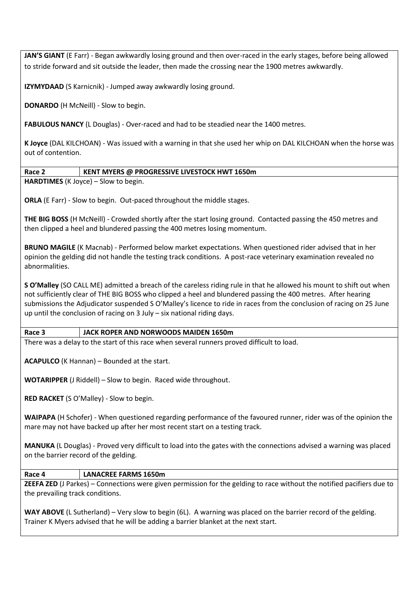**JAN'S GIANT** (E Farr) - Began awkwardly losing ground and then over-raced in the early stages, before being allowed to stride forward and sit outside the leader, then made the crossing near the 1900 metres awkwardly.

**IZYMYDAAD** (S Karnicnik) - Jumped away awkwardly losing ground.

**DONARDO** (H McNeill) - Slow to begin.

**FABULOUS NANCY** (L Douglas) - Over-raced and had to be steadied near the 1400 metres.

**K Joyce** (DAL KILCHOAN) - Was issued with a warning in that she used her whip on DAL KILCHOAN when the horse was out of contention.

#### **Race 2 KENT MYERS @ PROGRESSIVE LIVESTOCK HWT 1650m**

**HARDTIMES** (K Joyce) – Slow to begin.

**ORLA** (E Farr) - Slow to begin. Out-paced throughout the middle stages.

**THE BIG BOSS** (H McNeill) - Crowded shortly after the start losing ground. Contacted passing the 450 metres and then clipped a heel and blundered passing the 400 metres losing momentum.

**BRUNO MAGILE** (K Macnab) - Performed below market expectations. When questioned rider advised that in her opinion the gelding did not handle the testing track conditions. A post-race veterinary examination revealed no abnormalities.

**S O'Malley** (SO CALL ME) admitted a breach of the careless riding rule in that he allowed his mount to shift out when not sufficiently clear of THE BIG BOSS who clipped a heel and blundered passing the 400 metres. After hearing submissions the Adjudicator suspended S O'Malley's licence to ride in races from the conclusion of racing on 25 June up until the conclusion of racing on 3 July – six national riding days.

#### **Race 3 JACK ROPER AND NORWOODS MAIDEN 1650m**

There was a delay to the start of this race when several runners proved difficult to load.

**ACAPULCO** (K Hannan) – Bounded at the start.

**WOTARIPPER** (J Riddell) – Slow to begin. Raced wide throughout.

**RED RACKET** (S O'Malley) - Slow to begin.

**WAIPAPA** (H Schofer) - When questioned regarding performance of the favoured runner, rider was of the opinion the mare may not have backed up after her most recent start on a testing track.

**MANUKA** (L Douglas) - Proved very difficult to load into the gates with the connections advised a warning was placed on the barrier record of the gelding.

#### **Race 4 LANACREE FARMS 1650m**

**ZEEFA ZED** (J Parkes) – Connections were given permission for the gelding to race without the notified pacifiers due to the prevailing track conditions.

**WAY ABOVE** (L Sutherland) – Very slow to begin (6L). A warning was placed on the barrier record of the gelding. Trainer K Myers advised that he will be adding a barrier blanket at the next start.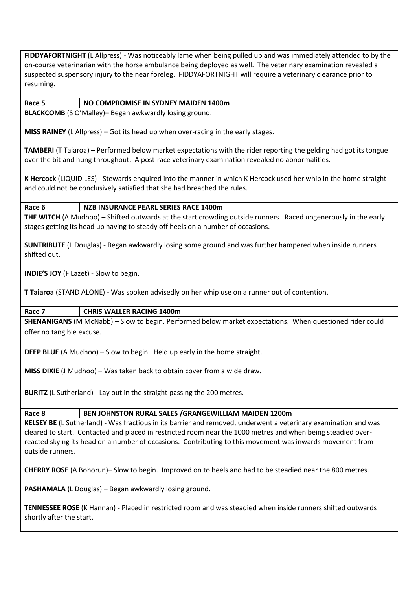**FIDDYAFORTNIGHT** (L Allpress) - Was noticeably lame when being pulled up and was immediately attended to by the on-course veterinarian with the horse ambulance being deployed as well. The veterinary examination revealed a suspected suspensory injury to the near foreleg. FIDDYAFORTNIGHT will require a veterinary clearance prior to resuming.

#### **Race 5 NO COMPROMISE IN SYDNEY MAIDEN 1400m**

**BLACKCOMB** (S O'Malley)– Began awkwardly losing ground.

**MISS RAINEY** (L Allpress) – Got its head up when over-racing in the early stages.

**TAMBERI** (T Taiaroa) – Performed below market expectations with the rider reporting the gelding had got its tongue over the bit and hung throughout. A post-race veterinary examination revealed no abnormalities.

**K Hercock** (LIQUID LES) - Stewards enquired into the manner in which K Hercock used her whip in the home straight and could not be conclusively satisfied that she had breached the rules.

#### **Race 6 NZB INSURANCE PEARL SERIES RACE 1400m**

**THE WITCH** (A Mudhoo) – Shifted outwards at the start crowding outside runners. Raced ungenerously in the early stages getting its head up having to steady off heels on a number of occasions.

**SUNTRIBUTE** (L Douglas) - Began awkwardly losing some ground and was further hampered when inside runners shifted out.

**INDIE'S JOY** (F Lazet) - Slow to begin.

**T Taiaroa** (STAND ALONE) - Was spoken advisedly on her whip use on a runner out of contention.

**Race 7 CHRIS WALLER RACING 1400m**

**SHENANIGANS** (M McNabb) – Slow to begin. Performed below market expectations. When questioned rider could offer no tangible excuse.

**DEEP BLUE** (A Mudhoo) – Slow to begin. Held up early in the home straight.

**MISS DIXIE** (J Mudhoo) – Was taken back to obtain cover from a wide draw.

**BURITZ** (L Sutherland) - Lay out in the straight passing the 200 metres.

**Race 8 BEN JOHNSTON RURAL SALES /GRANGEWILLIAM MAIDEN 1200m**

**KELSEY BE** (L Sutherland) - Was fractious in its barrier and removed, underwent a veterinary examination and was cleared to start. Contacted and placed in restricted room near the 1000 metres and when being steadied overreacted skying its head on a number of occasions. Contributing to this movement was inwards movement from outside runners.

**CHERRY ROSE** (A Bohorun)– Slow to begin. Improved on to heels and had to be steadied near the 800 metres.

**PASHAMALA** (L Douglas) – Began awkwardly losing ground.

**TENNESSEE ROSE** (K Hannan) - Placed in restricted room and was steadied when inside runners shifted outwards shortly after the start.